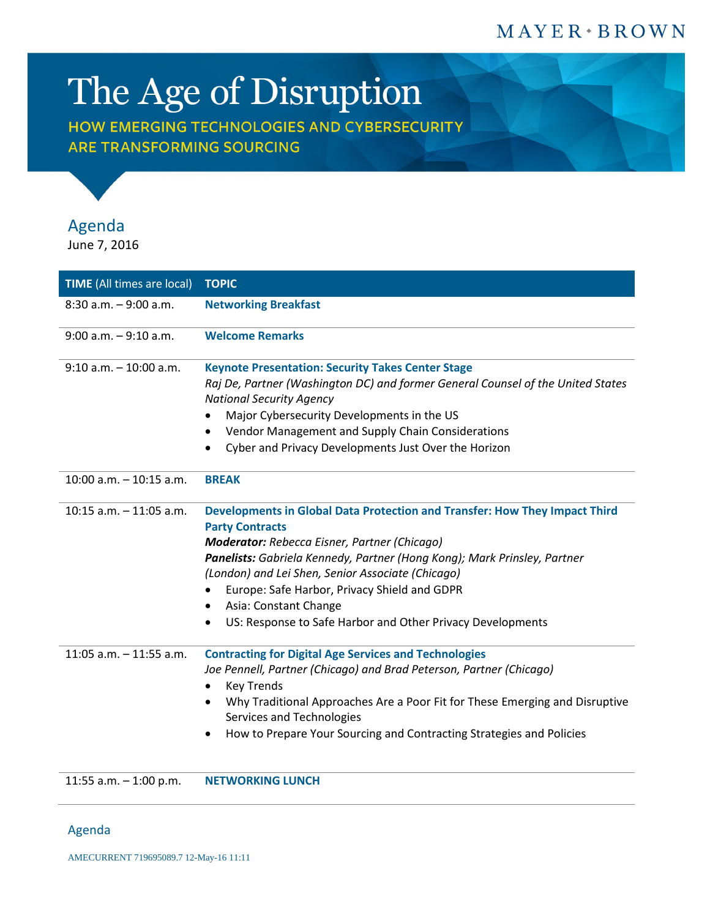### MAYER **BROWN**

## The Age of Disruption

HOW EMERGING TECHNOLOGIES AND CYBERSECURITY **ARE TRANSFORMING SOURCING** 



## Agenda

June 7, 2016

| <b>TIME</b> (All times are local) | <b>TOPIC</b>                                                                                                                                                                                                                                                                                                                                                                                                                                   |
|-----------------------------------|------------------------------------------------------------------------------------------------------------------------------------------------------------------------------------------------------------------------------------------------------------------------------------------------------------------------------------------------------------------------------------------------------------------------------------------------|
| $8:30$ a.m. $-9:00$ a.m.          | <b>Networking Breakfast</b>                                                                                                                                                                                                                                                                                                                                                                                                                    |
| $9:00$ a.m. $-9:10$ a.m.          | <b>Welcome Remarks</b>                                                                                                                                                                                                                                                                                                                                                                                                                         |
| $9:10$ a.m. $-10:00$ a.m.         | <b>Keynote Presentation: Security Takes Center Stage</b><br>Raj De, Partner (Washington DC) and former General Counsel of the United States<br><b>National Security Agency</b><br>Major Cybersecurity Developments in the US<br>Vendor Management and Supply Chain Considerations<br>Cyber and Privacy Developments Just Over the Horizon                                                                                                      |
| $10:00$ a.m. $-10:15$ a.m.        | <b>BREAK</b>                                                                                                                                                                                                                                                                                                                                                                                                                                   |
| $10:15$ a.m. $-11:05$ a.m.        | Developments in Global Data Protection and Transfer: How They Impact Third<br><b>Party Contracts</b><br>Moderator: Rebecca Eisner, Partner (Chicago)<br>Panelists: Gabriela Kennedy, Partner (Hong Kong); Mark Prinsley, Partner<br>(London) and Lei Shen, Senior Associate (Chicago)<br>Europe: Safe Harbor, Privacy Shield and GDPR<br>Asia: Constant Change<br>٠<br>US: Response to Safe Harbor and Other Privacy Developments<br>$\bullet$ |
| $11:05$ a.m. $-11:55$ a.m.        | <b>Contracting for Digital Age Services and Technologies</b><br>Joe Pennell, Partner (Chicago) and Brad Peterson, Partner (Chicago)<br><b>Key Trends</b><br>Why Traditional Approaches Are a Poor Fit for These Emerging and Disruptive<br>Services and Technologies<br>How to Prepare Your Sourcing and Contracting Strategies and Policies                                                                                                   |

11:55 a.m. – 1:00 p.m. **NETWORKING LUNCH**

Agenda